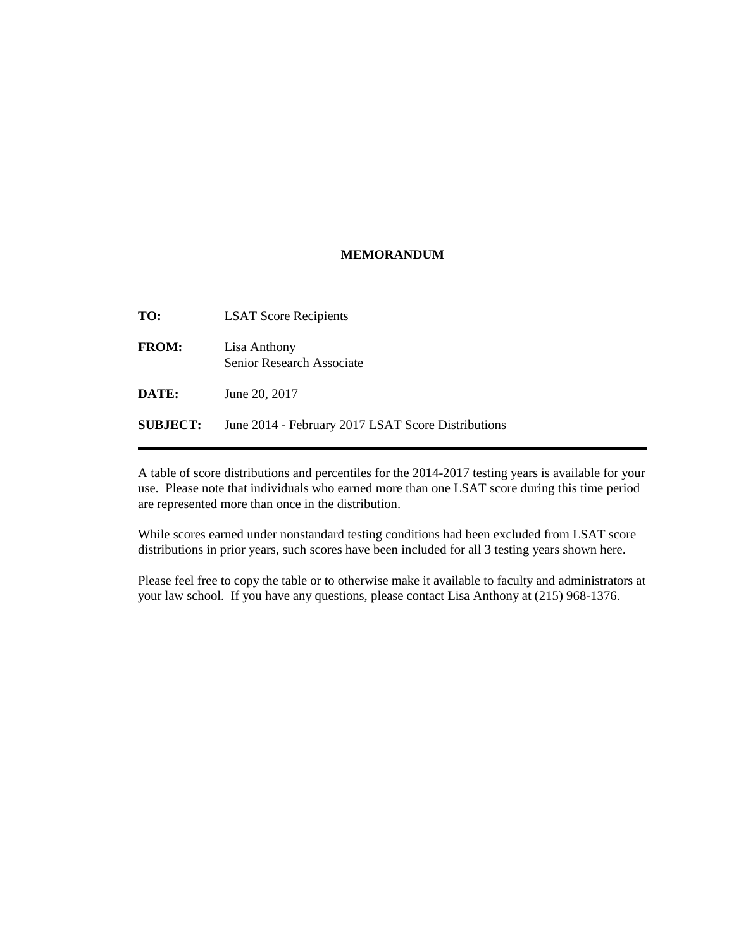## **MEMORANDUM**

| <b>LSAT Score Recipients</b>                       |
|----------------------------------------------------|
| Lisa Anthony<br>Senior Research Associate          |
| June 20, 2017                                      |
| June 2014 - February 2017 LSAT Score Distributions |
|                                                    |

A table of score distributions and percentiles for the 2014-2017 testing years is available for your use. Please note that individuals who earned more than one LSAT score during this time period are represented more than once in the distribution.

While scores earned under nonstandard testing conditions had been excluded from LSAT score distributions in prior years, such scores have been included for all 3 testing years shown here.

Please feel free to copy the table or to otherwise make it available to faculty and administrators at your law school. If you have any questions, please contact Lisa Anthony at (215) 968-1376.